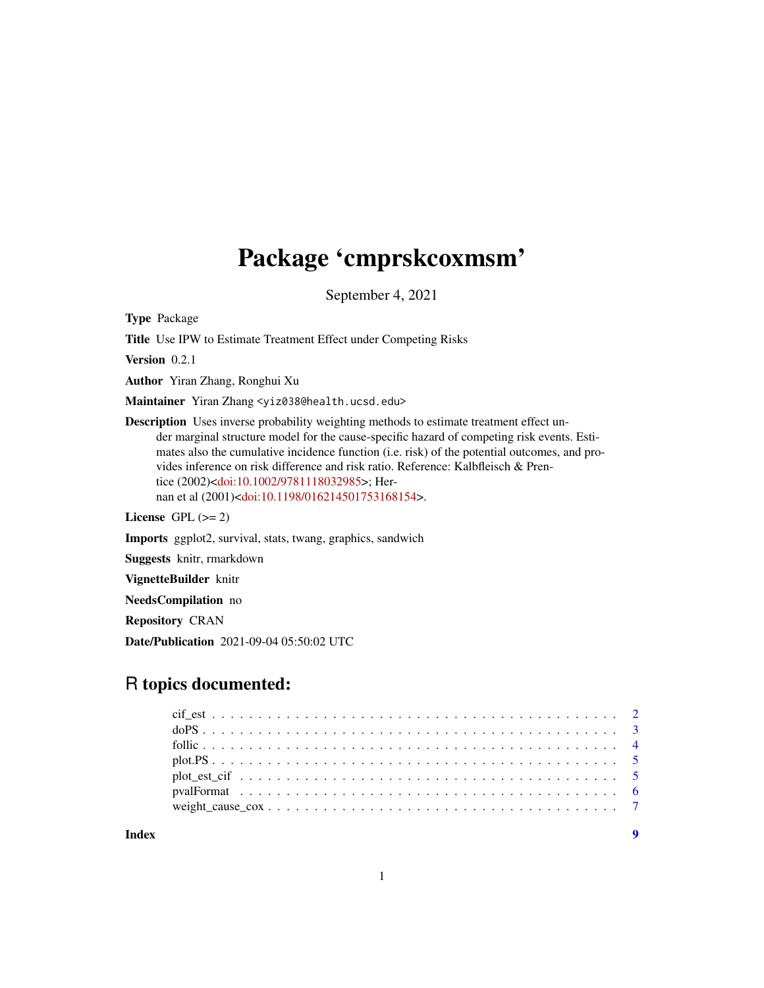# Package 'cmprskcoxmsm'

September 4, 2021

<span id="page-0-0"></span>Type Package

Title Use IPW to Estimate Treatment Effect under Competing Risks

Version 0.2.1

Author Yiran Zhang, Ronghui Xu

Maintainer Yiran Zhang <yiz038@health.ucsd.edu>

Description Uses inverse probability weighting methods to estimate treatment effect under marginal structure model for the cause-specific hazard of competing risk events. Estimates also the cumulative incidence function (i.e. risk) of the potential outcomes, and provides inference on risk difference and risk ratio. Reference: Kalbfleisch & Prentice (2002)[<doi:10.1002/9781118032985>](https://doi.org/10.1002/9781118032985); Hernan et al (2001)[<doi:10.1198/016214501753168154>](https://doi.org/10.1198/016214501753168154).

License GPL  $(>= 2)$ 

Imports ggplot2, survival, stats, twang, graphics, sandwich

Suggests knitr, rmarkdown

VignetteBuilder knitr

NeedsCompilation no

Repository CRAN

Date/Publication 2021-09-04 05:50:02 UTC

# R topics documented:

**Index** [9](#page-8-0)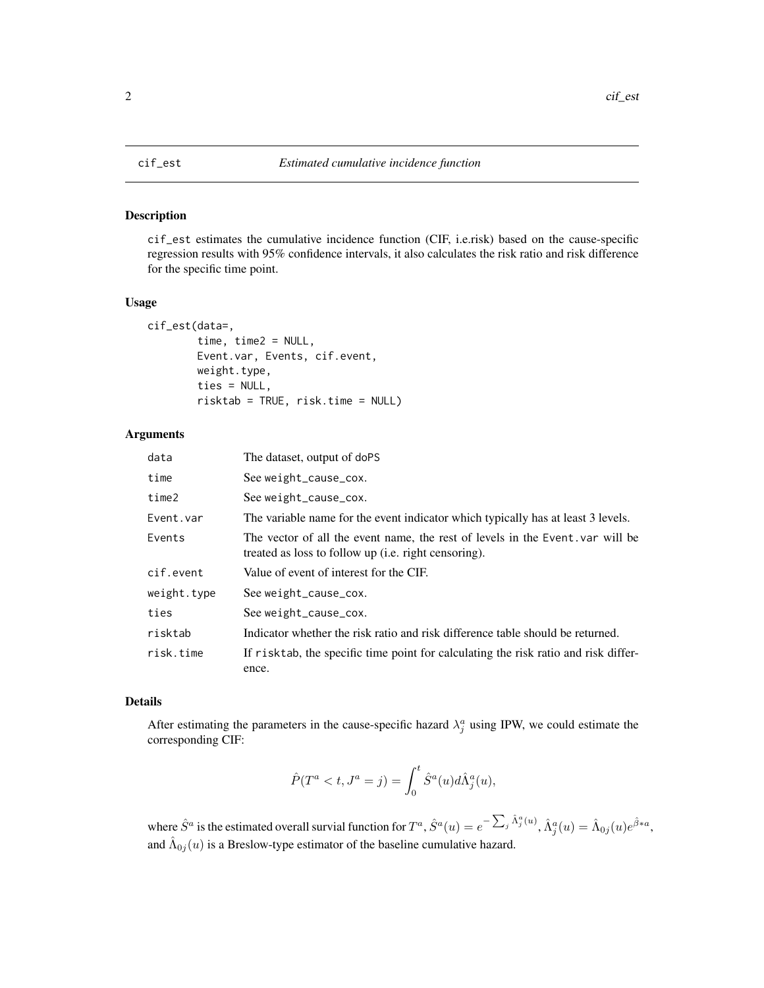<span id="page-1-0"></span>

#### Description

cif\_est estimates the cumulative incidence function (CIF, i.e.risk) based on the cause-specific regression results with 95% confidence intervals, it also calculates the risk ratio and risk difference for the specific time point.

#### Usage

```
cif_est(data=,
        time, time2 = NULL,
        Event.var, Events, cif.event,
        weight.type,
        ties = NULL,
        risktab = TRUE, risk.time = NULL)
```
#### Arguments

| data        | The dataset, output of doPS                                                                                                           |
|-------------|---------------------------------------------------------------------------------------------------------------------------------------|
| time        | See weight_cause_cox.                                                                                                                 |
| time2       | See weight_cause_cox.                                                                                                                 |
| Event.var   | The variable name for the event indicator which typically has at least 3 levels.                                                      |
| Events      | The vector of all the event name, the rest of levels in the Event var will be<br>treated as loss to follow up (i.e. right censoring). |
| cif.event   | Value of event of interest for the CIF.                                                                                               |
| weight.type | See weight_cause_cox.                                                                                                                 |
| ties        | See weight_cause_cox.                                                                                                                 |
| risktab     | Indicator whether the risk ratio and risk difference table should be returned.                                                        |
| risk.time   | If risktab, the specific time point for calculating the risk ratio and risk differ-<br>ence.                                          |

#### Details

After estimating the parameters in the cause-specific hazard  $\lambda_j^a$  using IPW, we could estimate the corresponding CIF:

$$
\hat{P}(T^a < t, J^a = j) = \int_0^t \hat{S}^a(u) d\hat{\Lambda}_j^a(u),
$$

where  $\hat{S}^a$  is the estimated overall survial function for  $T^a$ ,  $\hat{S}^a(u) = e^{-\sum_j \hat{\Lambda}^a_j(u)}$ ,  $\hat{\Lambda}^a_j(u) = \hat{\Lambda}_{0j}(u)e^{\hat{\beta}*a}$ , and  $\hat{\Lambda}_{0j}(u)$  is a Breslow-type estimator of the baseline cumulative hazard.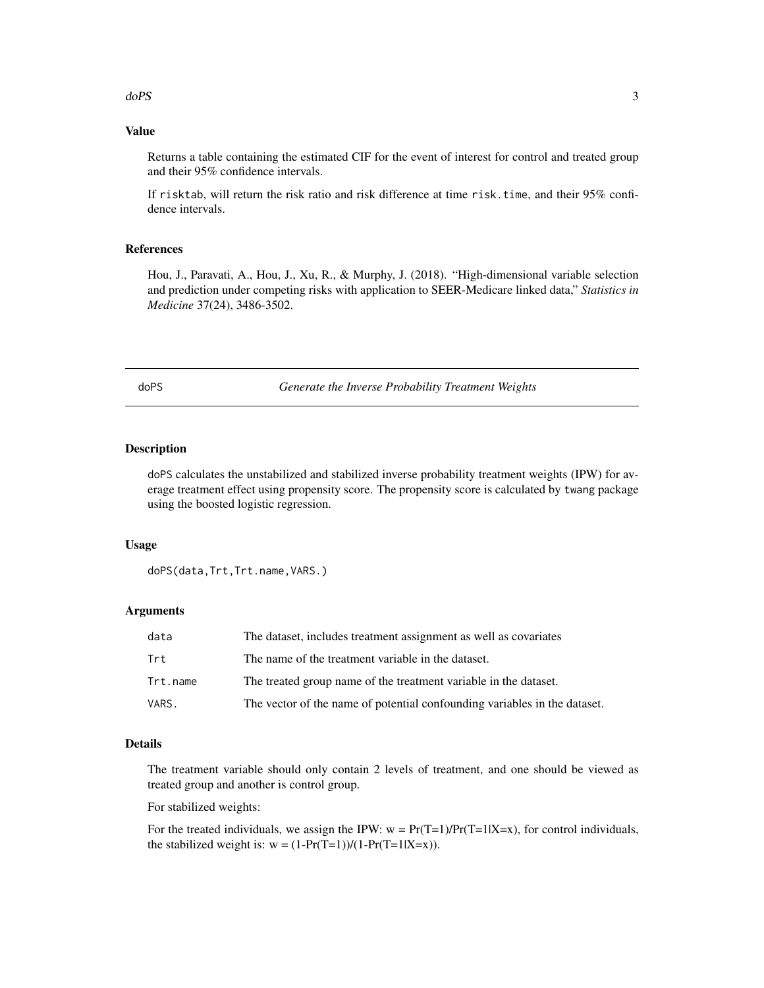# <span id="page-2-0"></span>Value

Returns a table containing the estimated CIF for the event of interest for control and treated group and their 95% confidence intervals.

If risktab, will return the risk ratio and risk difference at time risk.time, and their 95% confidence intervals.

#### References

Hou, J., Paravati, A., Hou, J., Xu, R., & Murphy, J. (2018). "High-dimensional variable selection and prediction under competing risks with application to SEER-Medicare linked data," *Statistics in Medicine* 37(24), 3486-3502.

doPS *Generate the Inverse Probability Treatment Weights*

#### Description

doPS calculates the unstabilized and stabilized inverse probability treatment weights (IPW) for average treatment effect using propensity score. The propensity score is calculated by twang package using the boosted logistic regression.

#### Usage

doPS(data,Trt,Trt.name,VARS.)

#### Arguments

| data     | The dataset, includes treatment assignment as well as covariates          |
|----------|---------------------------------------------------------------------------|
| Trt      | The name of the treatment variable in the dataset.                        |
| Trt.name | The treated group name of the treatment variable in the dataset.          |
| VARS.    | The vector of the name of potential confounding variables in the dataset. |

#### Details

The treatment variable should only contain 2 levels of treatment, and one should be viewed as treated group and another is control group.

For stabilized weights:

For the treated individuals, we assign the IPW:  $w = Pr(T=1)/Pr(T=1|X=x)$ , for control individuals, the stabilized weight is:  $w = (1-Pr(T=1))/(1-Pr(T=1|X=x)).$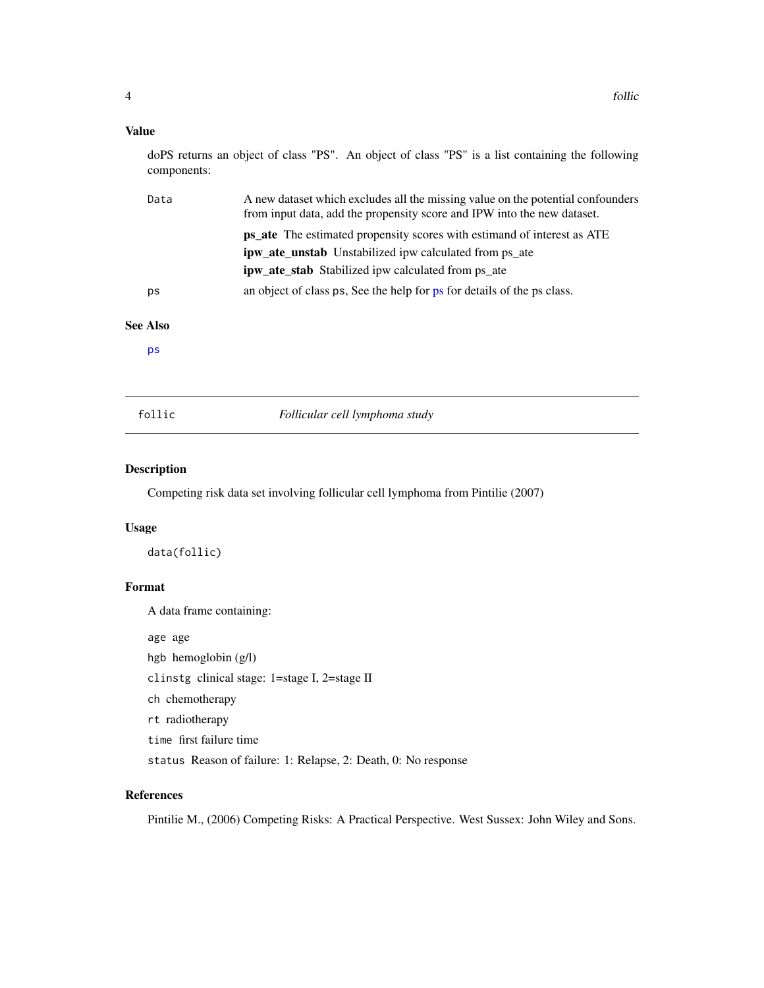#### <span id="page-3-0"></span>Value

doPS returns an object of class "PS". An object of class "PS" is a list containing the following components:

| Data | A new dataset which excludes all the missing value on the potential confounders<br>from input data, add the propensity score and IPW into the new dataset. |
|------|------------------------------------------------------------------------------------------------------------------------------------------------------------|
|      | <b>ps_ate</b> The estimated propensity scores with estimand of interest as ATE                                                                             |
|      | <b>ipw_ate_unstab</b> Unstabilized ipw calculated from ps_ate                                                                                              |
|      | <b>ipw_ate_stab</b> Stabilized ipw calculated from ps_ate                                                                                                  |
| ps   | an object of class ps, See the help for ps for details of the ps class.                                                                                    |

# See Also

[ps](#page-0-0)

follic *Follicular cell lymphoma study*

#### Description

Competing risk data set involving follicular cell lymphoma from Pintilie (2007)

# Usage

data(follic)

# Format

A data frame containing:

age age

hgb hemoglobin (g/l)

clinstg clinical stage: 1=stage I, 2=stage II

ch chemotherapy

rt radiotherapy

time first failure time

status Reason of failure: 1: Relapse, 2: Death, 0: No response

# References

Pintilie M., (2006) Competing Risks: A Practical Perspective. West Sussex: John Wiley and Sons.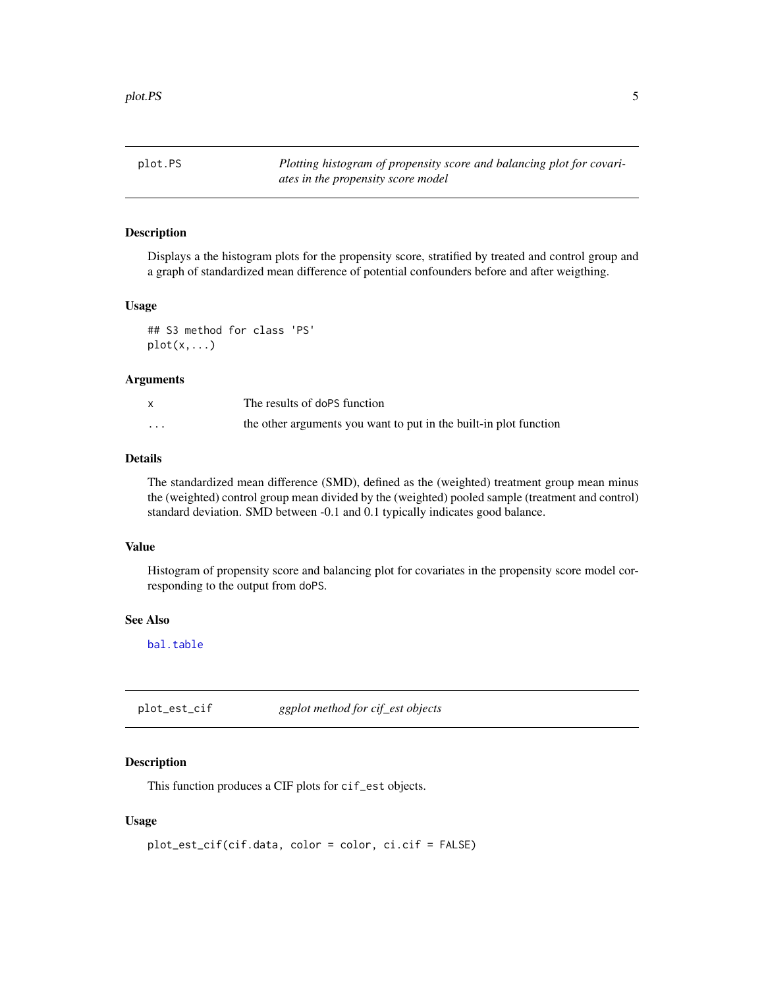<span id="page-4-0"></span>plot.PS *Plotting histogram of propensity score and balancing plot for covariates in the propensity score model*

# Description

Displays a the histogram plots for the propensity score, stratified by treated and control group and a graph of standardized mean difference of potential confounders before and after weigthing.

#### Usage

```
## S3 method for class 'PS'
plot(x, \ldots)
```
#### Arguments

|                         | The results of doPS function                                      |
|-------------------------|-------------------------------------------------------------------|
| $\cdot$ $\cdot$ $\cdot$ | the other arguments you want to put in the built-in plot function |

#### Details

The standardized mean difference (SMD), defined as the (weighted) treatment group mean minus the (weighted) control group mean divided by the (weighted) pooled sample (treatment and control) standard deviation. SMD between -0.1 and 0.1 typically indicates good balance.

#### Value

Histogram of propensity score and balancing plot for covariates in the propensity score model corresponding to the output from doPS.

#### See Also

[bal.table](#page-0-0)

plot\_est\_cif *ggplot method for cif\_est objects*

# Description

This function produces a CIF plots for cif\_est objects.

#### Usage

```
plot_est_cif(cif.data, color = color, ci.cif = FALSE)
```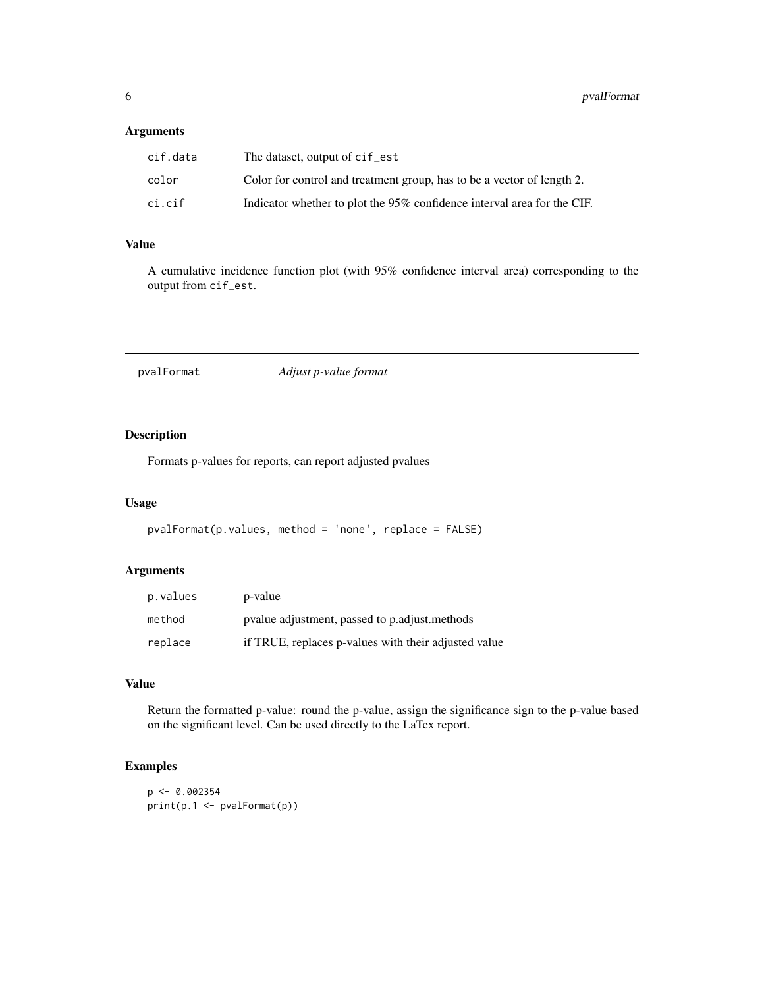#### <span id="page-5-0"></span>Arguments

| cif.data | The dataset, output of cif_est                                          |
|----------|-------------------------------------------------------------------------|
| color    | Color for control and treatment group, has to be a vector of length 2.  |
| ci.cif   | Indicator whether to plot the 95% confidence interval area for the CIF. |

# Value

A cumulative incidence function plot (with 95% confidence interval area) corresponding to the output from cif\_est.

| pvalFormat | Adjust p-value format |  |
|------------|-----------------------|--|
|------------|-----------------------|--|

# Description

Formats p-values for reports, can report adjusted pvalues

#### Usage

```
pvalFormat(p.values, method = 'none', replace = FALSE)
```
# Arguments

| p.values | p-value                                              |
|----------|------------------------------------------------------|
| method   | pvalue adjustment, passed to p. adjust. methods      |
| replace  | if TRUE, replaces p-values with their adjusted value |

# Value

Return the formatted p-value: round the p-value, assign the significance sign to the p-value based on the significant level. Can be used directly to the LaTex report.

# Examples

```
p \leftarrow 0.002354print(p.1 <- pvalFormat(p))
```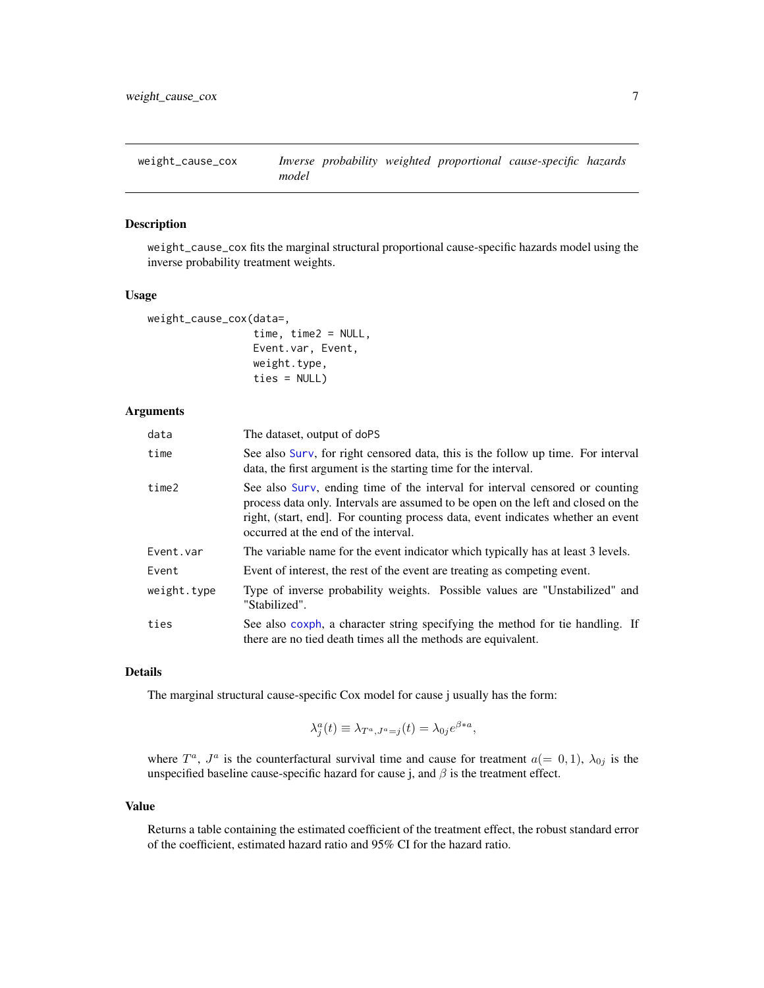<span id="page-6-0"></span>weight\_cause\_cox *Inverse probability weighted proportional cause-specific hazards model*

# Description

weight\_cause\_cox fits the marginal structural proportional cause-specific hazards model using the inverse probability treatment weights.

#### Usage

```
weight_cause_cox(data=,
                 time, time2 = NULL,
```

|                | Event.var, Event, |
|----------------|-------------------|
| weight.type,   |                   |
| $ties = NULL)$ |                   |

# Arguments

| data        | The dataset, output of doPS                                                                                                                                                                                                                                                                   |
|-------------|-----------------------------------------------------------------------------------------------------------------------------------------------------------------------------------------------------------------------------------------------------------------------------------------------|
| time        | See also Surv, for right censored data, this is the follow up time. For interval<br>data, the first argument is the starting time for the interval.                                                                                                                                           |
| time2       | See also Surv, ending time of the interval for interval censored or counting<br>process data only. Intervals are assumed to be open on the left and closed on the<br>right, (start, end). For counting process data, event indicates whether an event<br>occurred at the end of the interval. |
| Event.var   | The variable name for the event indicator which typically has at least 3 levels.                                                                                                                                                                                                              |
| Event       | Event of interest, the rest of the event are treating as competing event.                                                                                                                                                                                                                     |
| weight.type | Type of inverse probability weights. Possible values are "Unstabilized" and<br>"Stabilized".                                                                                                                                                                                                  |
| ties        | See also coxph, a character string specifying the method for tie handling. If<br>there are no tied death times all the methods are equivalent.                                                                                                                                                |

#### Details

The marginal structural cause-specific Cox model for cause j usually has the form:

$$
\lambda_j^a(t) \equiv \lambda_{T^a, J^a = j}(t) = \lambda_{0j} e^{\beta * a},
$$

where  $T^a$ ,  $J^a$  is the counterfactural survival time and cause for treatment  $a(= 0, 1)$ ,  $\lambda_{0j}$  is the unspecified baseline cause-specific hazard for cause j, and  $\beta$  is the treatment effect.

#### Value

Returns a table containing the estimated coefficient of the treatment effect, the robust standard error of the coefficient, estimated hazard ratio and 95% CI for the hazard ratio.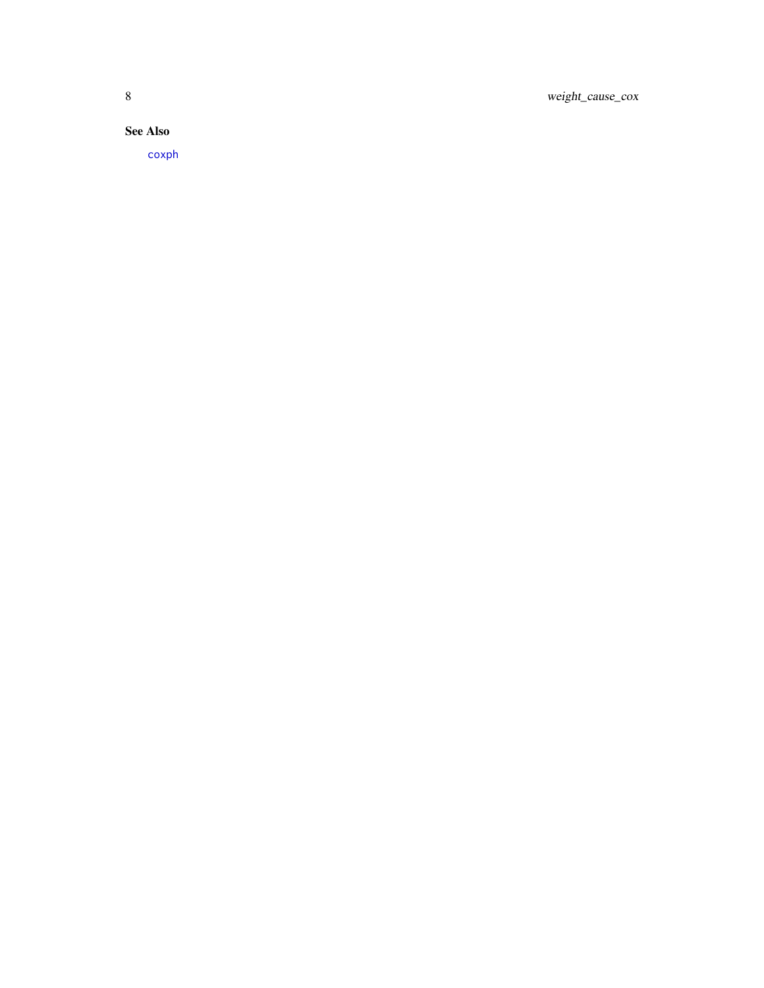<span id="page-7-0"></span>8 weight\_cause\_cox

See Also

[coxph](#page-0-0)